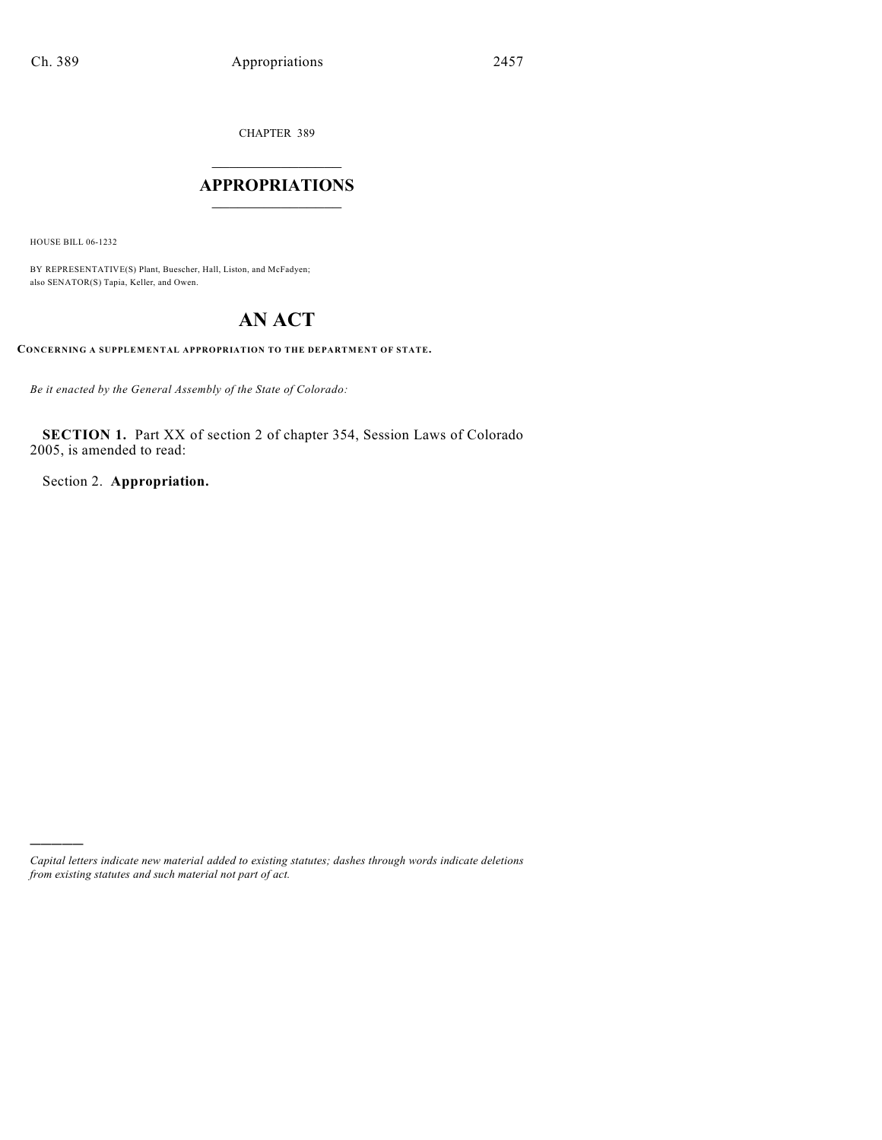CHAPTER 389

## $\overline{\phantom{a}}$  . The set of the set of the set of the set of the set of the set of the set of the set of the set of the set of the set of the set of the set of the set of the set of the set of the set of the set of the set o **APPROPRIATIONS**  $\_$   $\_$   $\_$   $\_$   $\_$   $\_$   $\_$   $\_$

HOUSE BILL 06-1232

)))))

BY REPRESENTATIVE(S) Plant, Buescher, Hall, Liston, and McFadyen; also SENATOR(S) Tapia, Keller, and Owen.

# **AN ACT**

**CONCERNING A SUPPLEMENTAL APPROPRIATION TO THE DEPARTMENT OF STATE.**

*Be it enacted by the General Assembly of the State of Colorado:*

**SECTION 1.** Part XX of section 2 of chapter 354, Session Laws of Colorado 2005, is amended to read:

Section 2. **Appropriation.**

*Capital letters indicate new material added to existing statutes; dashes through words indicate deletions from existing statutes and such material not part of act.*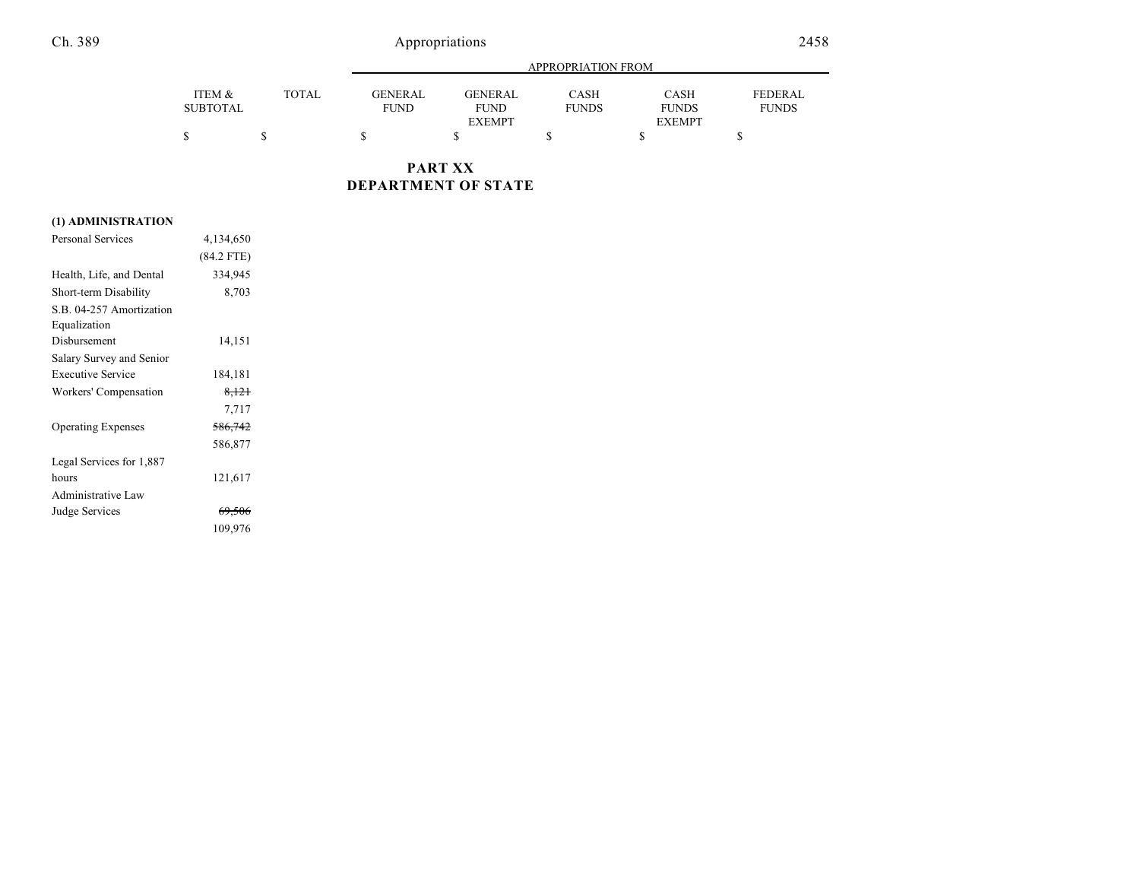## Ch. 389 Appropriations 2458

|                 |              |                | APPROPRIATION FROM |              |               |                |  |
|-----------------|--------------|----------------|--------------------|--------------|---------------|----------------|--|
| ITEM &          | <b>TOTAL</b> | <b>GENERAL</b> | <b>GENERAL</b>     | CASH         | <b>CASH</b>   | <b>FEDERAL</b> |  |
| <b>SUBTOTAL</b> |              | <b>FUND</b>    | <b>FUND</b>        | <b>FUNDS</b> | <b>FUNDS</b>  | <b>FUNDS</b>   |  |
|                 |              |                | <b>EXEMPT</b>      |              | <b>EXEMPT</b> |                |  |
|                 |              |                |                    |              |               |                |  |

**PART XX DEPARTMENT OF STATE**

### **(1) ADMINISTRATION**

| <b>Personal Services</b>  | 4,134,650         |  |
|---------------------------|-------------------|--|
|                           | $(84.2$ FTE)      |  |
| Health, Life, and Dental  | 334,945           |  |
| Short-term Disability     | 8,703             |  |
| S.B. 04-257 Amortization  |                   |  |
| Equalization              |                   |  |
| Disbursement              | 14,151            |  |
| Salary Survey and Senior  |                   |  |
| <b>Executive Service</b>  | 184,181           |  |
| Workers' Compensation     | <del>8.121</del>  |  |
|                           | 7,717             |  |
| <b>Operating Expenses</b> | 586,742           |  |
|                           | 586,877           |  |
| Legal Services for 1,887  |                   |  |
| hours                     | 121,617           |  |
| Administrative Law        |                   |  |
| Judge Services            | <del>69,506</del> |  |
|                           | 109,976           |  |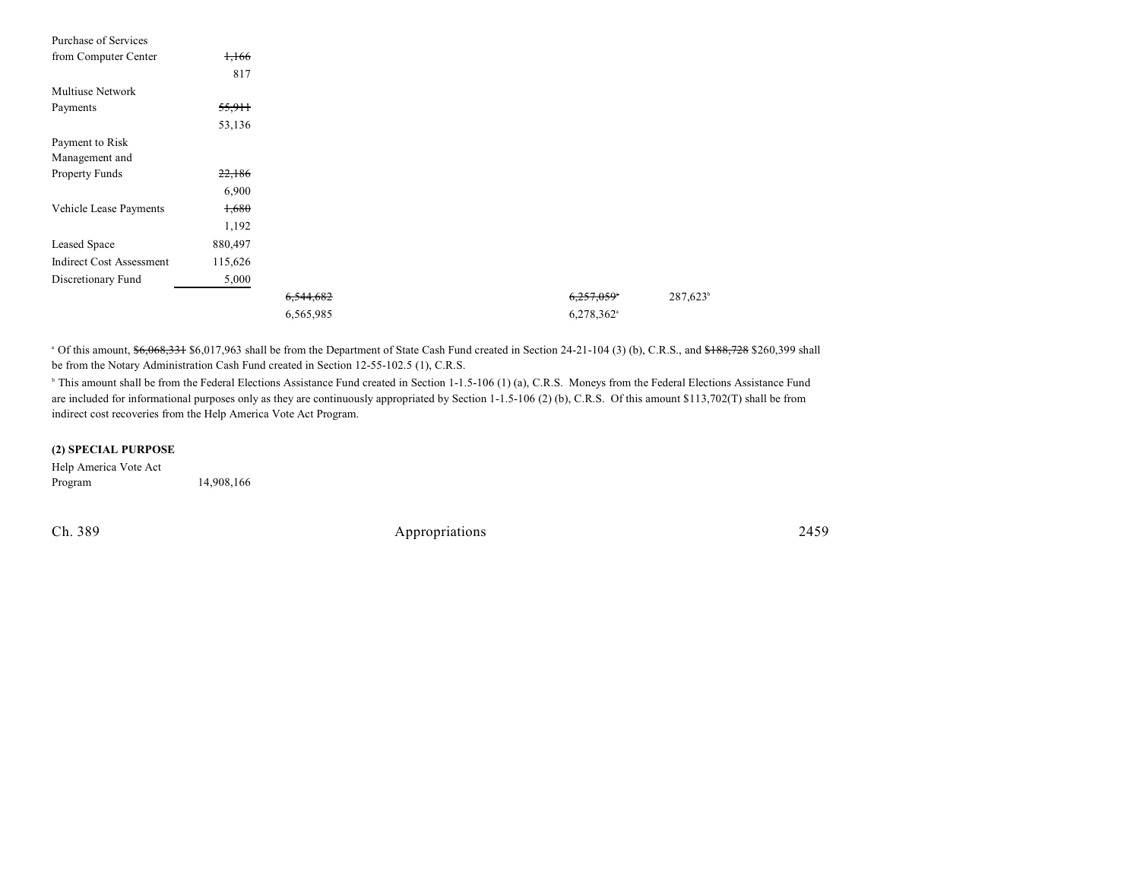| Purchase of Services            |         |           |                          |                      |
|---------------------------------|---------|-----------|--------------------------|----------------------|
| from Computer Center            | 1,166   |           |                          |                      |
|                                 | 817     |           |                          |                      |
| Multiuse Network                |         |           |                          |                      |
| Payments                        | 55,911  |           |                          |                      |
|                                 | 53,136  |           |                          |                      |
| Payment to Risk                 |         |           |                          |                      |
| Management and                  |         |           |                          |                      |
| Property Funds                  | 22,186  |           |                          |                      |
|                                 | 6,900   |           |                          |                      |
| Vehicle Lease Payments          | 1,680   |           |                          |                      |
|                                 | 1,192   |           |                          |                      |
| Leased Space                    | 880,497 |           |                          |                      |
| <b>Indirect Cost Assessment</b> | 115,626 |           |                          |                      |
| Discretionary Fund              | 5,000   |           |                          |                      |
|                                 |         | 6,544,682 | 6,257,059*               | 287,623 <sup>b</sup> |
|                                 |         | 6,565,985 | $6,278,362$ <sup>a</sup> |                      |

<sup>a</sup> Of this amount, \$6,068,331 \$6,017,963 shall be from the Department of State Cash Fund created in Section 24-21-104 (3) (b), C.R.S., and \$188,728 \$260,399 shall be from the Notary Administration Cash Fund created in Section 12-55-102.5 (1), C.R.S.

<sup>b</sup> This amount shall be from the Federal Elections Assistance Fund created in Section 1-1.5-106 (1) (a), C.R.S. Moneys from the Federal Elections Assistance Fund are included for informational purposes only as they are continuously appropriated by Section 1-1.5-106 (2) (b), C.R.S. Of this amount \$113,702(T) shall be from indirect cost recoveries from the Help America Vote Act Program.

#### **(2) SPECIAL PURPOSE**

Help America Vote Act Program 14,908,166

Ch. 389 Appropriations 2459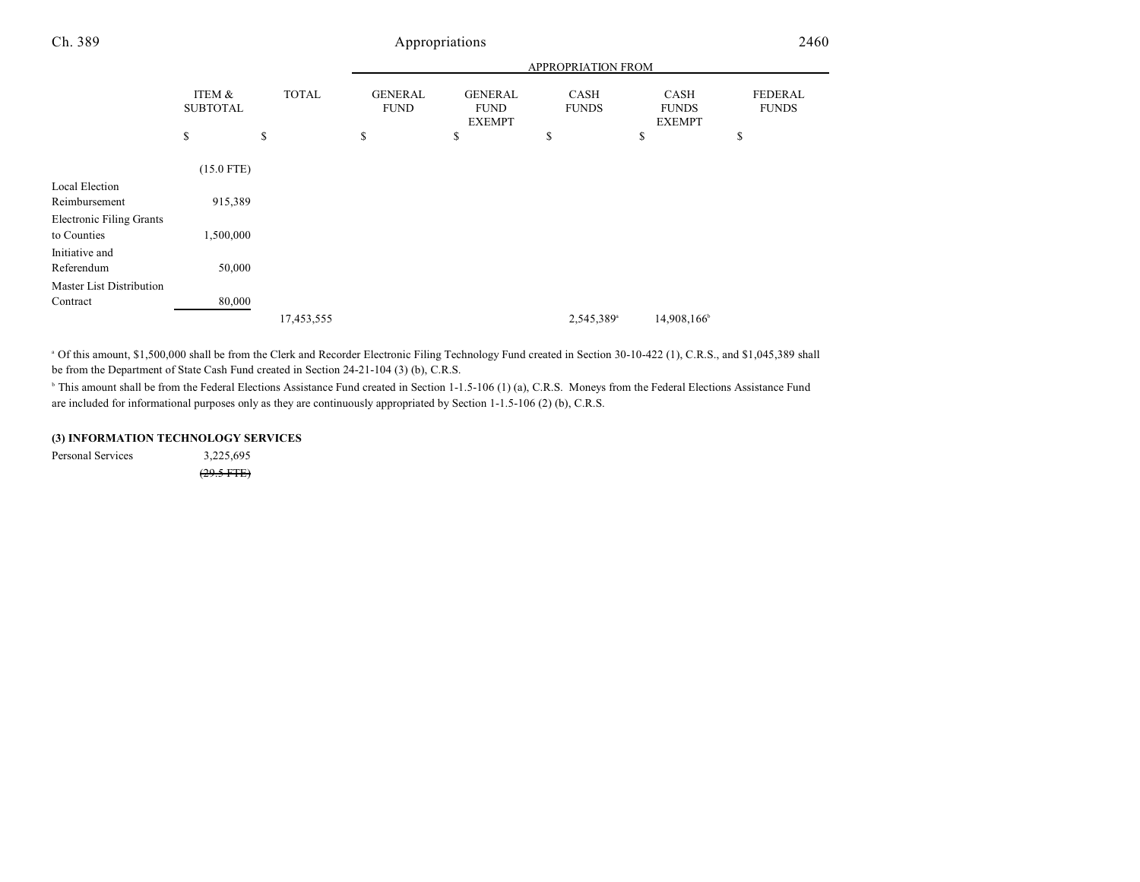## Ch. 389 Appropriations 2460

|                           |              | APPROPRIATION FROM            |                               |                        |                             |                         |  |
|---------------------------|--------------|-------------------------------|-------------------------------|------------------------|-----------------------------|-------------------------|--|
| ITEM &<br><b>SUBTOTAL</b> | <b>TOTAL</b> | <b>GENERAL</b><br><b>FUND</b> | <b>GENERAL</b><br><b>FUND</b> | CASH<br><b>FUNDS</b>   | <b>CASH</b><br><b>FUNDS</b> | FEDERAL<br><b>FUNDS</b> |  |
| \$                        | \$           | \$                            | \$                            | \$                     | \$                          | \$                      |  |
|                           |              |                               |                               |                        |                             |                         |  |
|                           |              |                               |                               |                        |                             |                         |  |
| 915,389                   |              |                               |                               |                        |                             |                         |  |
|                           |              |                               |                               |                        |                             |                         |  |
| 1,500,000                 |              |                               |                               |                        |                             |                         |  |
|                           |              |                               |                               |                        |                             |                         |  |
| 50,000                    |              |                               |                               |                        |                             |                         |  |
|                           |              |                               |                               |                        |                             |                         |  |
| 80,000                    |              |                               |                               |                        |                             |                         |  |
|                           | 17,453,555   |                               |                               | 2,545,389 <sup>a</sup> | 14,908,166                  |                         |  |
|                           | $(15.0$ FTE) |                               |                               | <b>EXEMPT</b>          |                             | <b>EXEMPT</b>           |  |

 Of this amount, \$1,500,000 shall be from the Clerk and Recorder Electronic Filing Technology Fund created in Section 30-10-422 (1), C.R.S., and \$1,045,389 shall <sup>a</sup> be from the Department of State Cash Fund created in Section 24-21-104 (3) (b), C.R.S.

<sup>b</sup> This amount shall be from the Federal Elections Assistance Fund created in Section 1-1.5-106 (1) (a), C.R.S. Moneys from the Federal Elections Assistance Fund are included for informational purposes only as they are continuously appropriated by Section 1-1.5-106 (2) (b), C.R.S.

#### **(3) INFORMATION TECHNOLOGY SERVICES**

Personal Services 3,225,695

 $(29.5$  FTE $)$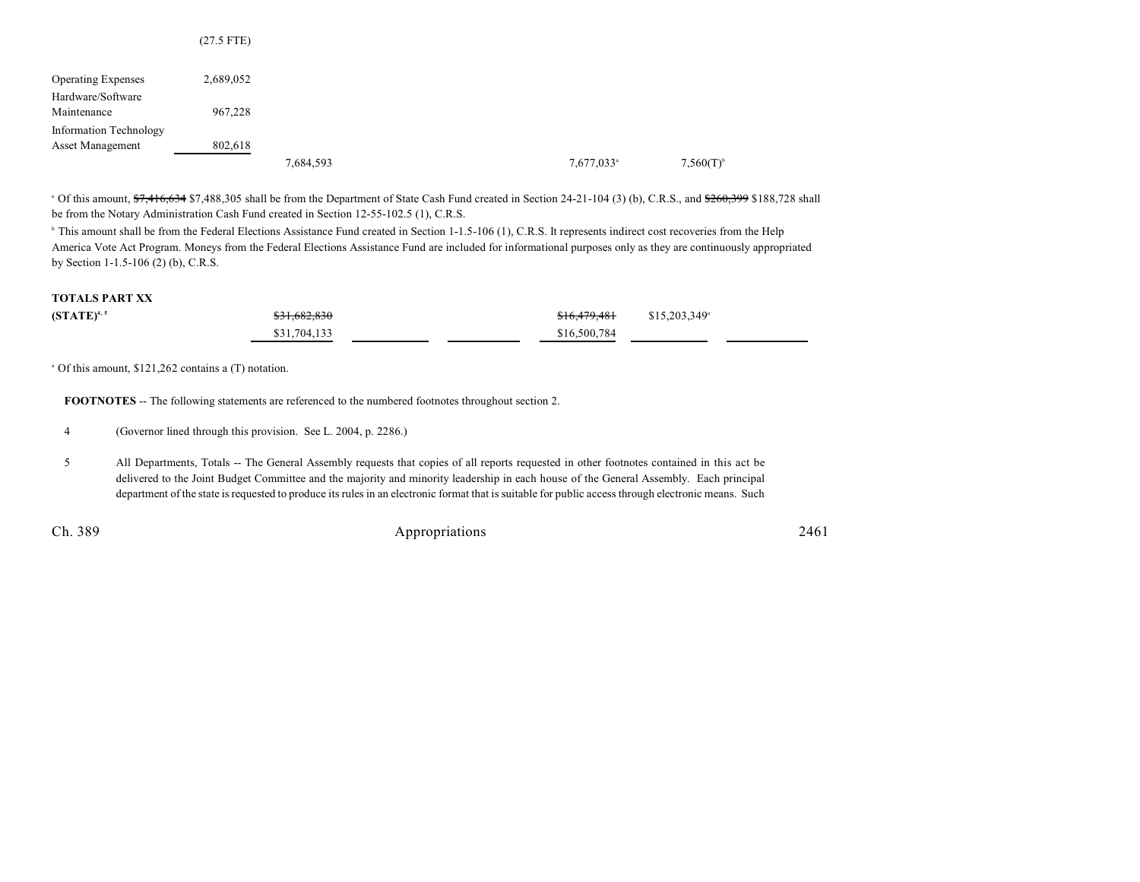|                               | $(27.5$ FTE) |           |  |                        |                         |
|-------------------------------|--------------|-----------|--|------------------------|-------------------------|
| <b>Operating Expenses</b>     | 2,689,052    |           |  |                        |                         |
| Hardware/Software             |              |           |  |                        |                         |
| Maintenance                   | 967,228      |           |  |                        |                         |
| <b>Information Technology</b> |              |           |  |                        |                         |
| Asset Management              | 802,618      |           |  |                        |                         |
|                               |              | 7,684,593 |  | 7,677,033 <sup>a</sup> | $7,560(T)$ <sup>b</sup> |

<sup>a</sup> Of this amount, \$7,416,634 \$7,488,305 shall be from the Department of State Cash Fund created in Section 24-21-104 (3) (b), C.R.S., and \$260,399 \$188,728 shall be from the Notary Administration Cash Fund created in Section 12-55-102.5 (1), C.R.S.

<sup>h</sup> This amount shall be from the Federal Elections Assistance Fund created in Section 1-1.5-106 (1), C.R.S. It represents indirect cost recoveries from the Help America Vote Act Program. Moneys from the Federal Elections Assistance Fund are included for informational purposes only as they are continuously appropriated by Section 1-1.5-106 (2) (b), C.R.S.

#### **TOTALS PART XX**

| $(STATE)^{4,5}$ | \$31,682,830 | $$16,479,481$ $$15,203,349^\circ$ |  |
|-----------------|--------------|-----------------------------------|--|
|                 | \$31,704,133 | \$16,500,784                      |  |

 $^{\circ}$  Of this amount, \$121,262 contains a (T) notation.

**FOOTNOTES** -- The following statements are referenced to the numbered footnotes throughout section 2.

4 (Governor lined through this provision. See L. 2004, p. 2286.)

5 All Departments, Totals -- The General Assembly requests that copies of all reports requested in other footnotes contained in this act be delivered to the Joint Budget Committee and the majority and minority leadership in each house of the General Assembly. Each principal department of the state is requested to produce its rules in an electronic format that is suitable for public access through electronic means. Such

Ch. 389 **Appropriations** 2461